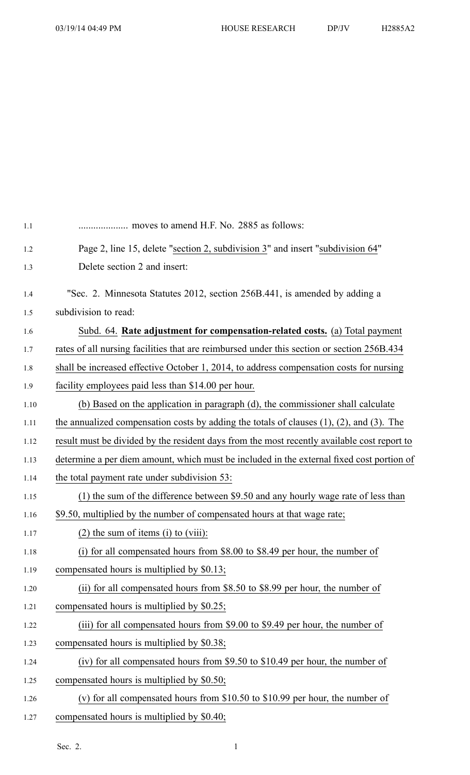| 1.1  |                                                                                                   |
|------|---------------------------------------------------------------------------------------------------|
| 1.2  | Page 2, line 15, delete "section 2, subdivision 3" and insert "subdivision 64"                    |
| 1.3  | Delete section 2 and insert:                                                                      |
| 1.4  | "Sec. 2. Minnesota Statutes 2012, section 256B.441, is amended by adding a                        |
| 1.5  | subdivision to read:                                                                              |
| 1.6  | Subd. 64. Rate adjustment for compensation-related costs. (a) Total payment                       |
| 1.7  | rates of all nursing facilities that are reimbursed under this section or section 256B.434        |
| 1.8  | shall be increased effective October 1, 2014, to address compensation costs for nursing           |
| 1.9  | facility employees paid less than \$14.00 per hour.                                               |
| 1.10 | (b) Based on the application in paragraph (d), the commissioner shall calculate                   |
| 1.11 | the annualized compensation costs by adding the totals of clauses $(1)$ , $(2)$ , and $(3)$ . The |
| 1.12 | result must be divided by the resident days from the most recently available cost report to       |
| 1.13 | determine a per diem amount, which must be included in the external fixed cost portion of         |
| 1.14 | the total payment rate under subdivision 53:                                                      |
| 1.15 | (1) the sum of the difference between \$9.50 and any hourly wage rate of less than                |
| 1.16 | \$9.50, multiplied by the number of compensated hours at that wage rate;                          |
| 1.17 | $(2)$ the sum of items $(i)$ to $(viii)$ :                                                        |
| 1.18 | (i) for all compensated hours from \$8.00 to \$8.49 per hour, the number of                       |
| 1.19 | compensated hours is multiplied by \$0.13;                                                        |
| 1.20 | (ii) for all compensated hours from \$8.50 to \$8.99 per hour, the number of                      |
| 1.21 | compensated hours is multiplied by \$0.25;                                                        |
| 1.22 | (iii) for all compensated hours from \$9.00 to \$9.49 per hour, the number of                     |
| 1.23 | compensated hours is multiplied by \$0.38;                                                        |
| 1.24 | (iv) for all compensated hours from \$9.50 to \$10.49 per hour, the number of                     |
| 1.25 | compensated hours is multiplied by \$0.50;                                                        |
| 1.26 | (v) for all compensated hours from $$10.50$ to $$10.99$ per hour, the number of                   |
| 1.27 | compensated hours is multiplied by \$0.40;                                                        |